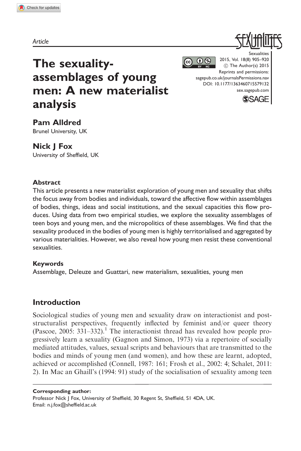Article



# The sexualityassemblages of young men: A new materialist analysis



2015, Vol. 18(8) 905–920 (C) The Author(s) 2015 Reprints and permissions: sagepub.co.uk/journalsPermissions.nav DOI: 10.1177/1363460715579132 sex.sagepub.com



Pam Alldred Brunel University, UK

# Nick J Fox

University of Sheffield, UK

#### Abstract

This article presents a new materialist exploration of young men and sexuality that shifts the focus away from bodies and individuals, toward the affective flow within assemblages of bodies, things, ideas and social institutions, and the sexual capacities this flow produces. Using data from two empirical studies, we explore the sexuality assemblages of teen boys and young men, and the micropolitics of these assemblages. We find that the sexuality produced in the bodies of young men is highly territorialised and aggregated by various materialities. However, we also reveal how young men resist these conventional sexualities.

#### Keywords

Assemblage, Deleuze and Guattari, new materialism, sexualities, young men

## Introduction

Sociological studies of young men and sexuality draw on interactionist and poststructuralist perspectives, frequently inflected by feminist and/or queer theory (Pascoe, 2005:  $331-332$ ).<sup>1</sup> The interactionist thread has revealed how people progressively learn a sexuality (Gagnon and Simon, 1973) via a repertoire of socially mediated attitudes, values, sexual scripts and behaviours that are transmitted to the bodies and minds of young men (and women), and how these are learnt, adopted, achieved or accomplished (Connell, 1987: 161; Frosh et al., 2002: 4; Schalet, 2011: 2). In Mac an Ghaill's (1994: 91) study of the socialisation of sexuality among teen

Corresponding author:

Professor Nick J Fox, University of Sheffield, 30 Regent St, Sheffield, S1 4DA, UK. Email: n.j.fox@sheffield.ac.uk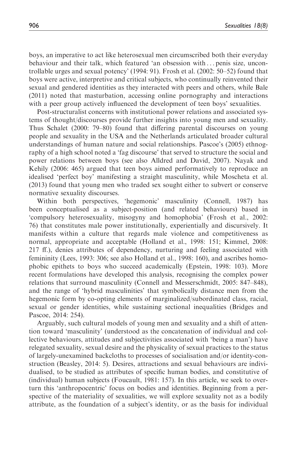boys, an imperative to act like heterosexual men circumscribed both their everyday behaviour and their talk, which featured 'an obsession with ... penis size, uncontrollable urges and sexual potency' (1994: 91). Frosh et al. (2002: 50–52) found that boys were active, interpretive and critical subjects, who continually reinvented their sexual and gendered identities as they interacted with peers and others, while Bale (2011) noted that masturbation, accessing online pornography and interactions with a peer group actively influenced the development of teen boys' sexualities.

Post-structuralist concerns with institutional power relations and associated systems of thought/discourses provide further insights into young men and sexuality. Thus Schalet (2000: 79–80) found that differing parental discourses on young people and sexuality in the USA and the Netherlands articulated broader cultural understandings of human nature and social relationships. Pascoe's (2005) ethnography of a high school noted a 'fag discourse' that served to structure the social and power relations between boys (see also Alldred and David, 2007). Nayak and Kehily (2006: 465) argued that teen boys aimed performatively to reproduce an idealised 'perfect boy' manifesting a straight masculinity, while Moscheta et al. (2013) found that young men who traded sex sought either to subvert or conserve normative sexuality discourses.

Within both perspectives, 'hegemonic' masculinity (Connell, 1987) has been conceptualised as a subject-position (and related behaviours) based in 'compulsory heterosexuality, misogyny and homophobia' (Frosh et al., 2002: 76) that constitutes male power institutionally, experientially and discursively. It manifests within a culture that regards male violence and competitiveness as normal, appropriate and acceptable (Holland et al., 1998: 151; Kimmel, 2008: 217 ff.), denies attributes of dependency, nurturing and feeling associated with femininity (Lees, 1993: 306; see also Holland et al., 1998: 160), and ascribes homophobic epithets to boys who succeed academically (Epstein, 1998: 103). More recent formulations have developed this analysis, recognising the complex power relations that surround masculinity (Connell and Messerschmidt, 2005: 847–848), and the range of 'hybrid masculinities' that symbolically distance men from the hegemonic form by co-opting elements of marginalized/subordinated class, racial, sexual or gender identities, while sustaining sectional inequalities (Bridges and Pascoe, 2014: 254).

Arguably, such cultural models of young men and sexuality and a shift of attention toward 'masculinity' (understood as the concatenation of individual and collective behaviours, attitudes and subjectivities associated with 'being a man') have relegated sexuality, sexual desire and the physicality of sexual practices to the status of largely-unexamined backcloths to processes of socialisation and/or identity-construction (Beasley, 2014: 5). Desires, attractions and sexual behaviours are individualised, to be studied as attributes of specific human bodies, and constitutive of (individual) human subjects (Foucault, 1981: 157). In this article, we seek to overturn this 'anthropocentric' focus on bodies and identities. Beginning from a perspective of the materiality of sexualities, we will explore sexuality not as a bodily attribute, as the foundation of a subject's identity, or as the basis for individual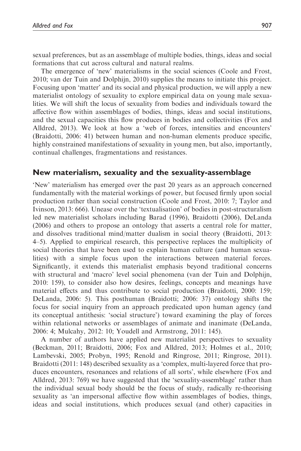sexual preferences, but as an assemblage of multiple bodies, things, ideas and social formations that cut across cultural and natural realms.

The emergence of 'new' materialisms in the social sciences (Coole and Frost, 2010; van der Tuin and Dolphijn, 2010) supplies the means to initiate this project. Focusing upon 'matter' and its social and physical production, we will apply a new materialist ontology of sexuality to explore empirical data on young male sexualities. We will shift the locus of sexuality from bodies and individuals toward the affective flow within assemblages of bodies, things, ideas and social institutions, and the sexual capacities this flow produces in bodies and collectivities (Fox and Alldred, 2013). We look at how a 'web of forces, intensities and encounters' (Braidotti, 2006: 41) between human and non-human elements produce specific, highly constrained manifestations of sexuality in young men, but also, importantly, continual challenges, fragmentations and resistances.

#### New materialism, sexuality and the sexuality-assemblage

'New' materialism has emerged over the past 20 years as an approach concerned fundamentally with the material workings of power, but focused firmly upon social production rather than social construction (Coole and Frost, 2010: 7; Taylor and Ivinson, 2013: 666). Unease over the 'textualisation' of bodies in post-structuralism led new materialist scholars including Barad (1996), Braidotti (2006), DeLanda (2006) and others to propose an ontology that asserts a central role for matter, and dissolves traditional mind/matter dualism in social theory (Braidotti, 2013: 4–5). Applied to empirical research, this perspective replaces the multiplicity of social theories that have been used to explain human culture (and human sexualities) with a simple focus upon the interactions between material forces. Significantly, it extends this materialist emphasis beyond traditional concerns with structural and 'macro' level social phenomena (van der Tuin and Dolphijn, 2010: 159), to consider also how desires, feelings, concepts and meanings have material effects and thus contribute to social production (Braidotti, 2000: 159; DeLanda, 2006: 5). This posthuman (Braidotti; 2006: 37) ontology shifts the focus for social inquiry from an approach predicated upon human agency (and its conceptual antithesis: 'social structure') toward examining the play of forces within relational networks or assemblages of animate and inanimate (DeLanda, 2006: 4; Mulcahy, 2012: 10; Youdell and Armstrong, 2011: 145).

A number of authors have applied new materialist perspectives to sexuality (Beckman, 2011; Braidotti, 2006; Fox and Alldred, 2013; Holmes et al., 2010; Lambevski, 2005; Probyn, 1995; Renold and Ringrose, 2011; Ringrose, 2011). Braidotti (2011: 148) described sexuality as a 'complex, multi-layered force that produces encounters, resonances and relations of all sorts', while elsewhere (Fox and Alldred, 2013: 769) we have suggested that the 'sexuality-assemblage' rather than the individual sexual body should be the focus of study, radically re-theorising sexuality as 'an impersonal affective flow within assemblages of bodies, things, ideas and social institutions, which produces sexual (and other) capacities in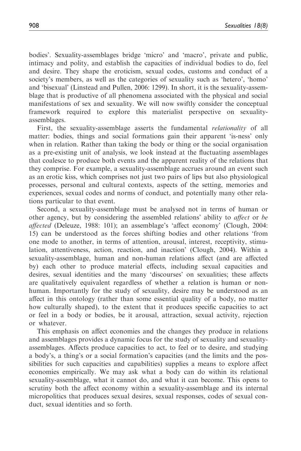bodies'. Sexuality-assemblages bridge 'micro' and 'macro', private and public, intimacy and polity, and establish the capacities of individual bodies to do, feel and desire. They shape the eroticism, sexual codes, customs and conduct of a society's members, as well as the categories of sexuality such as 'hetero', 'homo' and 'bisexual' (Linstead and Pullen, 2006: 1299). In short, it is the sexuality-assemblage that is productive of all phenomena associated with the physical and social manifestations of sex and sexuality. We will now swiftly consider the conceptual framework required to explore this materialist perspective on sexualityassemblages.

First, the sexuality-assemblage asserts the fundamental *relationality* of all matter: bodies, things and social formations gain their apparent 'is-ness' only when in relation. Rather than taking the body or thing or the social organisation as a pre-existing unit of analysis, we look instead at the fluctuating assemblages that coalesce to produce both events and the apparent reality of the relations that they comprise. For example, a sexuality-assemblage accrues around an event such as an erotic kiss, which comprises not just two pairs of lips but also physiological processes, personal and cultural contexts, aspects of the setting, memories and experiences, sexual codes and norms of conduct, and potentially many other relations particular to that event.

Second, a sexuality-assemblage must be analysed not in terms of human or other agency, but by considering the assembled relations' ability to affect or be affected (Deleuze, 1988: 101); an assemblage's 'affect economy' (Clough, 2004: 15) can be understood as the forces shifting bodies and other relations 'from one mode to another, in terms of attention, arousal, interest, receptivity, stimulation, attentiveness, action, reaction, and inaction' (Clough, 2004). Within a sexuality-assemblage, human and non-human relations affect (and are affected by) each other to produce material effects, including sexual capacities and desires, sexual identities and the many 'discourses' on sexualities; these affects are qualitatively equivalent regardless of whether a relation is human or nonhuman. Importantly for the study of sexuality, desire may be understood as an affect in this ontology (rather than some essential quality of a body, no matter how culturally shaped), to the extent that it produces specific capacities to act or feel in a body or bodies, be it arousal, attraction, sexual activity, rejection or whatever.

This emphasis on affect economies and the changes they produce in relations and assemblages provides a dynamic focus for the study of sexuality and sexualityassemblages. Affects produce capacities to act, to feel or to desire, and studying a body's, a thing's or a social formation's capacities (and the limits and the possibilities for such capacities and capabilities) supplies a means to explore affect economies empirically. We may ask what a body can do within its relational sexuality-assemblage, what it cannot do, and what it can become. This opens to scrutiny both the affect economy within a sexuality-assemblage and its internal micropolitics that produces sexual desires, sexual responses, codes of sexual conduct, sexual identities and so forth.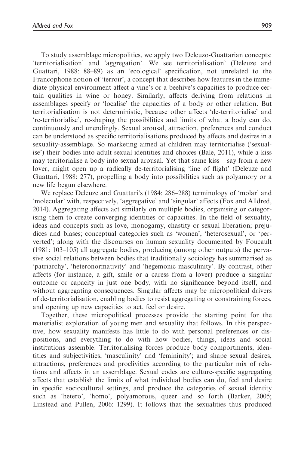To study assemblage micropolitics, we apply two Deleuzo-Guattarian concepts: 'territorialisation' and 'aggregation'. We see territorialisation' (Deleuze and Guattari, 1988: 88–89) as an 'ecological' specification, not unrelated to the Francophone notion of 'terroir', a concept that describes how features in the immediate physical environment affect a vine's or a beehive's capacities to produce certain qualities in wine or honey. Similarly, affects deriving from relations in assemblages specify or 'localise' the capacities of a body or other relation. But territorialisation is not deterministic, because other affects 'de-territorialise' and 're-territorialise', re-shaping the possibilities and limits of what a body can do, continuously and unendingly. Sexual arousal, attraction, preferences and conduct can be understood as specific territorialisations produced by affects and desires in a sexuality-assemblage. So marketing aimed at children may territorialise ('sexualise') their bodies into adult sexual identities and choices (Bale, 2011), while a kiss may territorialise a body into sexual arousal. Yet that same kiss – say from a new lover, might open up a radically de-territorialising 'line of flight' (Deleuze and Guattari, 1988: 277), propelling a body into possibilities such as polyamory or a new life begun elsewhere.

We replace Deleuze and Guattari's (1984: 286–288) terminology of 'molar' and 'molecular' with, respectively, 'aggregative' and 'singular' affects (Fox and Alldred, 2014). Aggregating affects act similarly on multiple bodies, organising or categorising them to create converging identities or capacities. In the field of sexuality, ideas and concepts such as love, monogamy, chastity or sexual liberation; prejudices and biases; conceptual categories such as 'women', 'heterosexual', or 'perverted'; along with the discourses on human sexuality documented by Foucault (1981: 103–105) all aggregate bodies, producing (among other outputs) the pervasive social relations between bodies that traditionally sociology has summarised as 'patriarchy', 'heteronormativity' and 'hegemonic masculinity'. By contrast, other affects (for instance, a gift, smile or a caress from a lover) produce a singular outcome or capacity in just one body, with no significance beyond itself, and without aggregating consequences. Singular affects may be micropolitical drivers of de-territorialisation, enabling bodies to resist aggregating or constraining forces, and opening up new capacities to act, feel or desire.

Together, these micropolitical processes provide the starting point for the materialist exploration of young men and sexuality that follows. In this perspective, how sexuality manifests has little to do with personal preferences or dispositions, and everything to do with how bodies, things, ideas and social institutions assemble. Territorialising forces produce body comportments, identities and subjectivities, 'masculinity' and 'femininity'; and shape sexual desires, attractions, preferences and proclivities according to the particular mix of relations and affects in an assemblage. Sexual codes are culture-specific aggregating affects that establish the limits of what individual bodies can do, feel and desire in specific sociocultural settings, and produce the categories of sexual identity such as 'hetero', 'homo', polyamorous, queer and so forth (Barker, 2005; Linstead and Pullen, 2006: 1299). It follows that the sexualities thus produced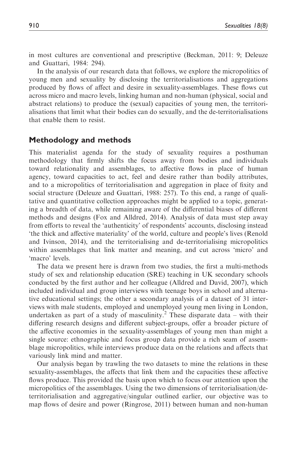in most cultures are conventional and prescriptive (Beckman, 2011: 9; Deleuze and Guattari, 1984: 294).

In the analysis of our research data that follows, we explore the micropolitics of young men and sexuality by disclosing the territorialisations and aggregations produced by flows of affect and desire in sexuality-assemblages. These flows cut across micro and macro levels, linking human and non-human (physical, social and abstract relations) to produce the (sexual) capacities of young men, the territorialisations that limit what their bodies can do sexually, and the de-territorialisations that enable them to resist.

#### Methodology and methods

This materialist agenda for the study of sexuality requires a posthuman methodology that firmly shifts the focus away from bodies and individuals toward relationality and assemblages, to affective flows in place of human agency, toward capacities to act, feel and desire rather than bodily attributes, and to a micropolitics of territorialisation and aggregation in place of fixity and social structure (Deleuze and Guattari, 1988: 257). To this end, a range of qualitative and quantitative collection approaches might be applied to a topic, generating a breadth of data, while remaining aware of the differential biases of different methods and designs (Fox and Alldred, 2014). Analysis of data must step away from efforts to reveal the 'authenticity' of respondents' accounts, disclosing instead 'the thick and affective materiality' of the world, culture and people's lives (Renold and Ivinson, 2014), and the territorialising and de-territorialising micropolitics within assemblages that link matter and meaning, and cut across 'micro' and 'macro' levels.

The data we present here is drawn from two studies, the first a multi-methods study of sex and relationship education (SRE) teaching in UK secondary schools conducted by the first author and her colleague (Alldred and David, 2007), which included individual and group interviews with teenage boys in school and alternative educational settings; the other a secondary analysis of a dataset of 31 interviews with male students, employed and unemployed young men living in London, undertaken as part of a study of masculinity.<sup>2</sup> These disparate data – with their differing research designs and different subject-groups, offer a broader picture of the affective economies in the sexuality-assemblages of young men than might a single source: ethnographic and focus group data provide a rich seam of assemblage micropolitics, while interviews produce data on the relations and affects that variously link mind and matter.

Our analysis began by trawling the two datasets to mine the relations in these sexuality-assemblages, the affects that link them and the capacities these affective flows produce. This provided the basis upon which to focus our attention upon the micropolitics of the assemblages. Using the two dimensions of territorialisation/deterritorialisation and aggregative/singular outlined earlier, our objective was to map flows of desire and power (Ringrose, 2011) between human and non-human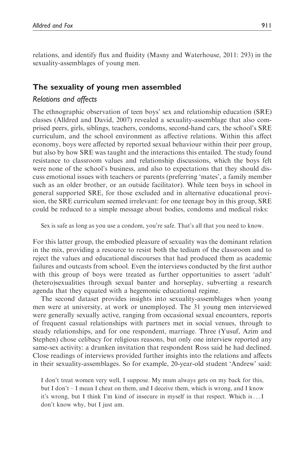relations, and identify flux and fluidity (Masny and Waterhouse, 2011: 293) in the sexuality-assemblages of young men.

### The sexuality of young men assembled

#### Relations and affects

The ethnographic observation of teen boys' sex and relationship education (SRE) classes (Alldred and David, 2007) revealed a sexuality-assemblage that also comprised peers, girls, siblings, teachers, condoms, second-hand cars, the school's SRE curriculum, and the school environment as affective relations. Within this affect economy, boys were affected by reported sexual behaviour within their peer group, but also by how SRE was taught and the interactions this entailed. The study found resistance to classroom values and relationship discussions, which the boys felt were none of the school's business, and also to expectations that they should discuss emotional issues with teachers or parents (preferring 'mates', a family member such as an older brother, or an outside facilitator). While teen boys in school in general supported SRE, for those excluded and in alternative educational provision, the SRE curriculum seemed irrelevant: for one teenage boy in this group, SRE could be reduced to a simple message about bodies, condoms and medical risks:

Sex is safe as long as you use a condom, you're safe. That's all that you need to know.

For this latter group, the embodied pleasure of sexuality was the dominant relation in the mix, providing a resource to resist both the tedium of the classroom and to reject the values and educational discourses that had produced them as academic failures and outcasts from school. Even the interviews conducted by the first author with this group of boys were treated as further opportunities to assert 'adult' (hetero)sexualities through sexual banter and horseplay, subverting a research agenda that they equated with a hegemonic educational regime.

The second dataset provides insights into sexuality-assemblages when young men were at university, at work or unemployed. The 31 young men interviewed were generally sexually active, ranging from occasional sexual encounters, reports of frequent casual relationships with partners met in social venues, through to steady relationships, and for one respondent, marriage. Three (Yusuf, Azim and Stephen) chose celibacy for religious reasons, but only one interview reported any same-sex activity: a drunken invitation that respondent Ross said he had declined. Close readings of interviews provided further insights into the relations and affects in their sexuality-assemblages. So for example, 20-year-old student 'Andrew' said:

I don't treat women very well, I suppose. My mum always gets on my back for this, but I don't  $-$  I mean I cheat on them, and I deceive them, which is wrong, and I know it's wrong, but I think I'm kind of insecure in myself in that respect. Which is...I don't know why, but I just am.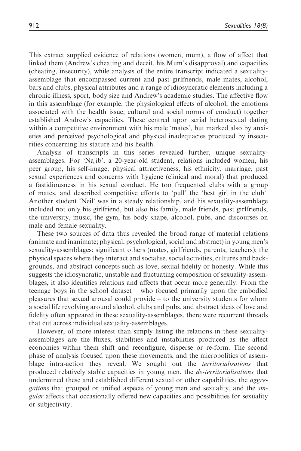This extract supplied evidence of relations (women, mum), a flow of affect that linked them (Andrew's cheating and deceit, his Mum's disapproval) and capacities (cheating, insecurity), while analysis of the entire transcript indicated a sexualityassemblage that encompassed current and past girlfriends, male mates, alcohol, bars and clubs, physical attributes and a range of idiosyncratic elements including a chronic illness, sport, body size and Andrew's academic studies. The affective flow in this assemblage (for example, the physiological effects of alcohol; the emotions associated with the health issue; cultural and social norms of conduct) together established Andrew's capacities. These centred upon serial heterosexual dating within a competitive environment with his male 'mates', but marked also by anxieties and perceived psychological and physical inadequacies produced by insecurities concerning his stature and his health.

Analysis of transcripts in this series revealed further, unique sexualityassemblages. For 'Najib', a 20-year-old student, relations included women, his peer group, his self-image, physical attractiveness, his ethnicity, marriage, past sexual experiences and concerns with hygiene (clinical and moral) that produced a fastidiousness in his sexual conduct. He too frequented clubs with a group of mates, and described competitive efforts to 'pull' the 'best girl in the club'. Another student 'Neil' was in a steady relationship, and his sexuality-assemblage included not only his girlfriend, but also his family, male friends, past girlfriends, the university, music, the gym, his body shape, alcohol, pubs, and discourses on male and female sexuality.

These two sources of data thus revealed the broad range of material relations (animate and inanimate; physical, psychological, social and abstract) in young men's sexuality-assemblages: significant others (mates, girlfriends, parents, teachers); the physical spaces where they interact and socialise, social activities, cultures and backgrounds, and abstract concepts such as love, sexual fidelity or honesty. While this suggests the idiosyncratic, unstable and fluctuating composition of sexuality-assemblages, it also identifies relations and affects that occur more generally. From the teenage boys in the school dataset – who focused primarily upon the embodied pleasures that sexual arousal could provide – to the university students for whom a social life revolving around alcohol, clubs and pubs, and abstract ideas of love and fidelity often appeared in these sexuality-assemblages, there were recurrent threads that cut across individual sexuality-assemblages.

However, of more interest than simply listing the relations in these sexualityassemblages are the fluxes, stabilities and instabilities produced as the affect economies within them shift and reconfigure, disperse or re-form. The second phase of analysis focused upon these movements, and the micropolitics of assemblage intra-action they reveal. We sought out the *territorialisations* that produced relatively stable capacities in young men, the de-territorialisations that undermined these and established different sexual or other capabilities, the *aggre*gations that grouped or unified aspects of young men and sexuality, and the sin*gular* affects that occasionally offered new capacities and possibilities for sexuality or subjectivity.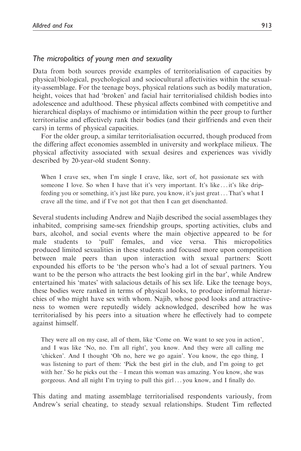#### The micropolitics of young men and sexuality

Data from both sources provide examples of territorialisation of capacities by physical/biological, psychological and sociocultural affectivities within the sexuality-assemblage. For the teenage boys, physical relations such as bodily maturation, height, voices that had 'broken' and facial hair territorialised childish bodies into adolescence and adulthood. These physical affects combined with competitive and hierarchical displays of machismo or intimidation within the peer group to further territorialise and effectively rank their bodies (and their girlfriends and even their cars) in terms of physical capacities.

For the older group, a similar territorialisation occurred, though produced from the differing affect economies assembled in university and workplace milieux. The physical affectivity associated with sexual desires and experiences was vividly described by 20-year-old student Sonny.

When I crave sex, when I'm single I crave, like, sort of, hot passionate sex with someone I love. So when I have that it's very important. It's like ... it's like dripfeeding you or something, it's just like pure, you know, it's just great...That's what I crave all the time, and if I've not got that then I can get disenchanted.

Several students including Andrew and Najib described the social assemblages they inhabited, comprising same-sex friendship groups, sporting activities, clubs and bars, alcohol, and social events where the main objective appeared to be for male students to 'pull' females, and vice versa. This micropolitics produced limited sexualities in these students and focused more upon competition between male peers than upon interaction with sexual partners: Scott expounded his efforts to be 'the person who's had a lot of sexual partners. You want to be the person who attracts the best looking girl in the bar', while Andrew entertained his 'mates' with salacious details of his sex life. Like the teenage boys, these bodies were ranked in terms of physical looks, to produce informal hierarchies of who might have sex with whom. Najib, whose good looks and attractiveness to women were reputedly widely acknowledged, described how he was territorialised by his peers into a situation where he effectively had to compete against himself.

They were all on my case, all of them, like 'Come on. We want to see you in action', and I was like 'No, no. I'm all right', you know. And they were all calling me 'chicken'. And I thought 'Oh no, here we go again'. You know, the ego thing, I was listening to part of them: 'Pick the best girl in the club, and I'm going to get with her.' So he picks out the  $-1$  mean this woman was amazing. You know, she was gorgeous. And all night I'm trying to pull this girl ... you know, and I finally do.

This dating and mating assemblage territorialised respondents variously, from Andrew's serial cheating, to steady sexual relationships. Student Tim reflected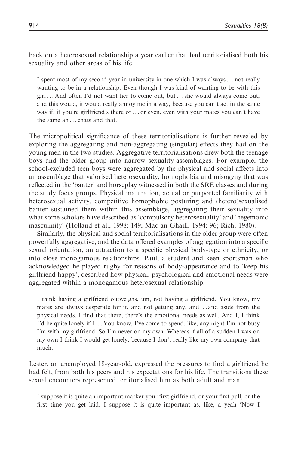back on a heterosexual relationship a year earlier that had territorialised both his sexuality and other areas of his life.

I spent most of my second year in university in one which I was always... not really wanting to be in a relationship. Even though I was kind of wanting to be with this girl ... And often I'd not want her to come out, but ...she would always come out, and this would, it would really annoy me in a way, because you can't act in the same way if, if you're girlfriend's there or... or even, even with your mates you can't have the same ah ... chats and that.

The micropolitical significance of these territorialisations is further revealed by exploring the aggregating and non-aggregating (singular) effects they had on the young men in the two studies. Aggregative territorialisations drew both the teenage boys and the older group into narrow sexuality-assemblages. For example, the school-excluded teen boys were aggregated by the physical and social affects into an assemblage that valorised heterosexuality, homophobia and misogyny that was reflected in the 'banter' and horseplay witnessed in both the SRE classes and during the study focus groups. Physical maturation, actual or purported familiarity with heterosexual activity, competitive homophobic posturing and (hetero)sexualised banter sustained them within this assemblage, aggregating their sexuality into what some scholars have described as 'compulsory heterosexuality' and 'hegemonic masculinity' (Holland et al., 1998: 149; Mac an Ghaill, 1994: 96; Rich, 1980).

Similarly, the physical and social territorialisations in the older group were often powerfully aggregative, and the data offered examples of aggregation into a specific sexual orientation, an attraction to a specific physical body-type or ethnicity, or into close monogamous relationships. Paul, a student and keen sportsman who acknowledged he played rugby for reasons of body-appearance and to 'keep his girlfriend happy', described how physical, psychological and emotional needs were aggregated within a monogamous heterosexual relationship.

I think having a girlfriend outweighs, um, not having a girlfriend. You know, my mates are always desperate for it, and not getting any, and ... and aside from the physical needs, I find that there, there's the emotional needs as well. And I, I think I'd be quite lonely if I... You know, I've come to spend, like, any night I'm not busy I'm with my girlfriend. So I'm never on my own. Whereas if all of a sudden I was on my own I think I would get lonely, because I don't really like my own company that much.

Lester, an unemployed 18-year-old, expressed the pressures to find a girlfriend he had felt, from both his peers and his expectations for his life. The transitions these sexual encounters represented territorialised him as both adult and man.

I suppose it is quite an important marker your first girlfriend, or your first pull, or the first time you get laid. I suppose it is quite important as, like, a yeah 'Now I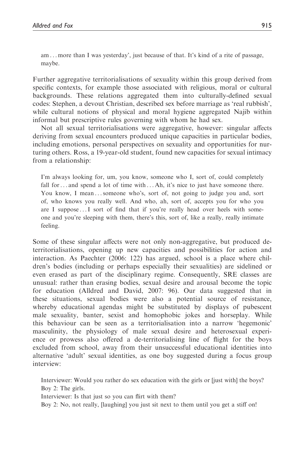am ... more than I was yesterday', just because of that. It's kind of a rite of passage, maybe.

Further aggregative territorialisations of sexuality within this group derived from specific contexts, for example those associated with religious, moral or cultural backgrounds. These relations aggregated them into culturally-defined sexual codes: Stephen, a devout Christian, described sex before marriage as 'real rubbish', while cultural notions of physical and moral hygiene aggregated Najib within informal but prescriptive rules governing with whom he had sex.

Not all sexual territorialisations were aggregative, however: singular affects deriving from sexual encounters produced unique capacities in particular bodies, including emotions, personal perspectives on sexuality and opportunities for nurturing others. Ross, a 19-year-old student, found new capacities for sexual intimacy from a relationship:

I'm always looking for, um, you know, someone who I, sort of, could completely fall for... and spend a lot of time with  $\dots$  Ah, it's nice to just have someone there. You know, I mean...someone who's, sort of, not going to judge you and, sort of, who knows you really well. And who, ah, sort of, accepts you for who you are I suppose ...I sort of find that if you're really head over heels with someone and you're sleeping with them, there's this, sort of, like a really, really intimate feeling.

Some of these singular affects were not only non-aggregative, but produced deterritorialisations, opening up new capacities and possibilities for action and interaction. As Paechter (2006: 122) has argued, school is a place where children's bodies (including or perhaps especially their sexualities) are sidelined or even erased as part of the disciplinary regime. Consequently, SRE classes are unusual: rather than erasing bodies, sexual desire and arousal become the topic for education (Alldred and David, 2007: 96). Our data suggested that in these situations, sexual bodies were also a potential source of resistance, whereby educational agendas might be substituted by displays of pubescent male sexuality, banter, sexist and homophobic jokes and horseplay. While this behaviour can be seen as a territorialisation into a narrow 'hegemonic' masculinity, the physiology of male sexual desire and heterosexual experience or prowess also offered a de-territorialising line of flight for the boys excluded from school, away from their unsuccessful educational identities into alternative 'adult' sexual identities, as one boy suggested during a focus group interview:

Interviewer: Would you rather do sex education with the girls or [just with] the boys? Boy 2: The girls.

Interviewer: Is that just so you can flirt with them?

Boy 2: No, not really, [laughing] you just sit next to them until you get a stiff on!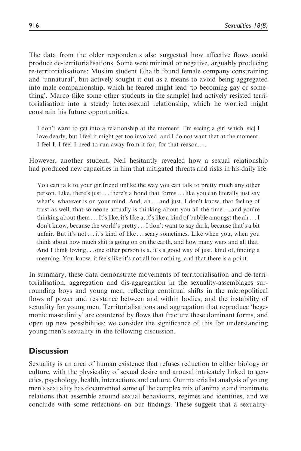The data from the older respondents also suggested how affective flows could produce de-territorialisations. Some were minimal or negative, arguably producing re-territorialisations: Muslim student Ghalib found female company constraining and 'unnatural', but actively sought it out as a means to avoid being aggregated into male companionship, which he feared might lead 'to becoming gay or something'. Marco (like some other students in the sample) had actively resisted territorialisation into a steady heterosexual relationship, which he worried might constrain his future opportunities.

I don't want to get into a relationship at the moment. I'm seeing a girl which [sic] I love dearly, but I feel it might get too involved, and I do not want that at the moment. I feel I, I feel I need to run away from it for, for that reason....

However, another student, Neil hesitantly revealed how a sexual relationship had produced new capacities in him that mitigated threats and risks in his daily life.

You can talk to your girlfriend unlike the way you can talk to pretty much any other person. Like, there's just  $\dots$  there's a bond that forms... like you can literally just say what's, whatever is on your mind. And, ah ... and just, I don't know, that feeling of trust as well, that someone actually is thinking about you all the time ... and you're thinking about them  $\dots$  It's like, it's like a, it's like a kind of bubble amongst the ah  $\dots$  I don't know, because the world's pretty ...I don't want to say dark, because that's a bit unfair. But it's not ... it's kind of like ...scary sometimes. Like when you, when you think about how much shit is going on on the earth, and how many wars and all that. And I think loving ... one other person is a, it's a good way of just, kind of, finding a meaning. You know, it feels like it's not all for nothing, and that there is a point.

In summary, these data demonstrate movements of territorialisation and de-territorialisation, aggregation and dis-aggregation in the sexuality-assemblages surrounding boys and young men, reflecting continual shifts in the micropolitical flows of power and resistance between and within bodies, and the instability of sexuality for young men. Territorialisations and aggregation that reproduce 'hegemonic masculinity' are countered by flows that fracture these dominant forms, and open up new possibilities: we consider the significance of this for understanding young men's sexuality in the following discussion.

## **Discussion**

Sexuality is an area of human existence that refuses reduction to either biology or culture, with the physicality of sexual desire and arousal intricately linked to genetics, psychology, health, interactions and culture. Our materialist analysis of young men's sexuality has documented some of the complex mix of animate and inanimate relations that assemble around sexual behaviours, regimes and identities, and we conclude with some reflections on our findings. These suggest that a sexuality-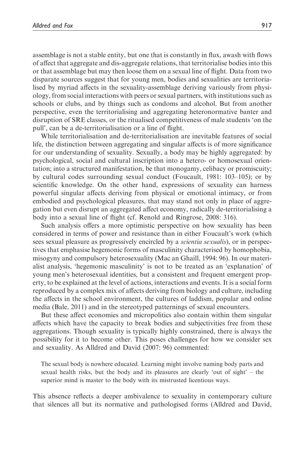assemblage is not a stable entity, but one that is constantly in flux, awash with flows of affect that aggregate and dis-aggregate relations, that territorialise bodies into this or that assemblage but may then loose them on a sexual line of flight. Data from two disparate sources suggest that for young men, bodies and sexualities are territorialised by myriad affects in the sexuality-assemblage deriving variously from physiology, from social interactions with peers or sexual partners, with institutions such as schools or clubs, and by things such as condoms and alcohol. But from another perspective, even the territorialising and aggregating heteronormative banter and disruption of SRE classes, or the ritualised competitiveness of male students 'on the pull', can be a de-territorialisation or a line of flight.

While territorialisation and de-territorialisation are inevitable features of social life, the distinction between aggregating and singular affects is of more significance for our understanding of sexuality. Sexually, a body may be highly aggregated: by psychological, social and cultural inscription into a hetero- or homosexual orientation; into a structured manifestation, be that monogamy, celibacy or promiscuity; by cultural codes surrounding sexual conduct (Foucault, 1981: 103–105); or by scientific knowledge. On the other hand, expressions of sexuality can harness powerful singular affects deriving from physical or emotional intimacy, or from embodied and psychological pleasures, that may stand not only in place of aggregation but even disrupt an aggregated affect economy, radically de-territorialising a body into a sexual line of flight (cf. Renold and Ringrose, 2008: 316).

Such analysis offers a more optimistic perspective on how sexuality has been considered in terms of power and resistance than in either Foucault's work (which sees sexual pleasure as progressively encircled by a *scientia sexualis*), or in perspectives that emphasise hegemonic forms of masculinity characterised by homophobia, misogyny and compulsory heterosexuality (Mac an Ghaill, 1994: 96). In our materialist analysis, 'hegemonic masculinity' is not to be treated as an 'explanation' of young men's heterosexual identities, but a consistent and frequent emergent property, to be explained at the level of actions, interactions and events. It is a social form reproduced by a complex mix of affects deriving from biology and culture, including the affects in the school environment, the cultures of laddism, popular and online media (Bale, 2011) and in the stereotyped patternings of sexual encounters.

But these affect economies and micropolitics also contain within them singular affects which have the capacity to break bodies and subjectivities free from these aggregations. Though sexuality is typically highly constrained, there is always the possibility for it to become other. This poses challenges for how we consider sex and sexuality. As Alldred and David (2007: 96) commented:

The sexual body is nowhere educated. Learning might involve naming body parts and sexual health risks, but the body and its pleasures are clearly 'out of sight' – the superior mind is master to the body with its mistrusted licentious ways.

This absence reflects a deeper ambivalence to sexuality in contemporary culture that silences all but its normative and pathologised forms (Alldred and David,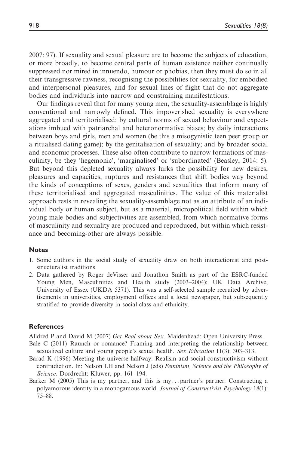2007: 97). If sexuality and sexual pleasure are to become the subjects of education, or more broadly, to become central parts of human existence neither continually suppressed nor mired in innuendo, humour or phobias, then they must do so in all their transgressive rawness, recognising the possibilities for sexuality, for embodied and interpersonal pleasures, and for sexual lines of flight that do not aggregate bodies and individuals into narrow and constraining manifestations.

Our findings reveal that for many young men, the sexuality-assemblage is highly conventional and narrowly defined. This impoverished sexuality is everywhere aggregated and territorialised: by cultural norms of sexual behaviour and expectations imbued with patriarchal and heteronormative biases; by daily interactions between boys and girls, men and women (be this a misogynistic teen peer group or a ritualised dating game); by the genitalisation of sexuality; and by broader social and economic processes. These also often contribute to narrow formations of masculinity, be they 'hegemonic', 'marginalised' or 'subordinated' (Beasley, 2014: 5). But beyond this depleted sexuality always lurks the possibility for new desires, pleasures and capacities, ruptures and resistances that shift bodies way beyond the kinds of conceptions of sexes, genders and sexualities that inform many of these territorialised and aggregated masculinities. The value of this materialist approach rests in revealing the sexuality-assemblage not as an attribute of an individual body or human subject, but as a material, micropolitical field within which young male bodies and subjectivities are assembled, from which normative forms of masculinity and sexuality are produced and reproduced, but within which resistance and becoming-other are always possible.

#### **Notes**

- 1. Some authors in the social study of sexuality draw on both interactionist and poststructuralist traditions.
- 2. Data gathered by Roger deVisser and Jonathon Smith as part of the ESRC-funded Young Men, Masculinities and Health study (2003–2004); UK Data Archive, University of Essex (UKDA 5371). This was a self-selected sample recruited by advertisements in universities, employment offices and a local newspaper, but subsequently stratified to provide diversity in social class and ethnicity.

#### **References**

- Alldred P and David M (2007) Get Real about Sex. Maidenhead: Open University Press. Bale C (2011) Raunch or romance? Framing and interpreting the relationship between
- sexualized culture and young people's sexual health. Sex Education 11(3): 303–313.
- Barad K (1996) Meeting the universe halfway: Realism and social constructivism without contradiction. In: Nelson LH and Nelson J (eds) Feminism, Science and the Philosophy of Science. Dordrecht: Kluwer, pp. 161–194.
- Barker M (2005) This is my partner, and this is my ... partner's partner: Constructing a polyamorous identity in a monogamous world. Journal of Constructivist Psychology 18(1): 75–88.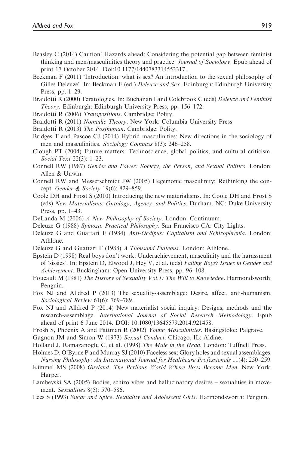- Beasley C (2014) Caution! Hazards ahead: Considering the potential gap between feminist thinking and men/masculinities theory and practice. Journal of Sociology. Epub ahead of print 17 October 2014. Doi:10.1177/1440783314553317.
- Beckman F (2011) 'Introduction: what is sex? An introduction to the sexual philosophy of Gilles Deleuze'. In: Beckman F (ed.) Deleuze and Sex. Edinburgh: Edinburgh University Press, pp. 1–29.
- Braidotti R (2000) Teratologies. In: Buchanan I and Colebrook C (eds) Deleuze and Feminist Theory. Edinburgh: Edinburgh University Press, pp. 156–172.
- Braidotti R (2006) Transpositions. Cambridge: Polity.
- Braidotti R (2011) Nomadic Theory. New York: Columbia University Press.
- Braidotti R (2013) The Posthuman. Cambridge: Polity.
- Bridges T and Pascoe CJ (2014) Hybrid masculinities: New directions in the sociology of men and masculinities. Sociology Compass 8(3): 246–258.
- Clough PT (2004) Future matters: Technoscience, global politics, and cultural criticism. Social Text 22(3): 1–23.
- Connell RW (1987) Gender and Power: Society, the Person, and Sexual Politics. London: Allen & Unwin.
- Connell RW and Messerschmidt JW (2005) Hegemonic masculinity: Rethinking the concept. Gender & Society 19(6): 829-859.
- Coole DH and Frost S (2010) Introducing the new materialisms. In: Coole DH and Frost S (eds) New Materialisms: Ontology, Agency, and Politics. Durham, NC: Duke University Press, pp. 1–43.
- DeLanda M (2006) A New Philosophy of Society. London: Continuum.
- Deleuze G (1988) Spinoza. Practical Philosophy. San Francisco CA: City Lights.
- Deleuze G and Guattari F (1984) Anti-Oedipus: Capitalism and Schizophrenia. London: Athlone.
- Deleuze G and Guattari F (1988) A Thousand Plateaus. London: Athlone.
- Epstein D (1998) Real boys don't work: Underachievement, masculinity and the harassment of 'sissies'. In: Epstein D, Elwood J, Hey V, et al. (eds) Failing Boys? Issues in Gender and Achievement. Buckingham: Open University Press, pp. 96–108.
- Foucault M (1981) The History of Sexuality Vol.1: The Will to Knowledge. Harmondsworth: Penguin.
- Fox NJ and Alldred P (2013) The sexuality-assemblage: Desire, affect, anti-humanism. Sociological Review 61(6): 769–789.
- Fox NJ and Alldred P (2014) New materialist social inquiry: Designs, methods and the research-assemblage. International Journal of Social Research Methodology. Epub ahead of print 6 June 2014. DOI: 10.1080/13645579.2014.921458.
- Frosh S, Phoenix A and Pattman R (2002) Young Masculinities. Basingstoke: Palgrave.
- Gagnon JM and Simon W (1973) Sexual Conduct. Chicago, IL: Aldine.
- Holland J, Ramazanoglu C, et al. (1998) The Male in the Head. London: Tuffnell Press.
- Holmes D, O'Byrne P and Murray SJ (2010) Faceless sex: Glory holes and sexual assemblages. Nursing Philosophy: An International Journal for Healthcare Professionals 11(4): 250–259.
- Kimmel MS (2008) Guyland: The Perilous World Where Boys Become Men. New York: Harper.
- Lambevski SA (2005) Bodies, schizo vibes and hallucinatory desires sexualities in movement. Sexualities 8(5): 570–586.
- Lees S (1993) Sugar and Spice. Sexuality and Adolescent Girls. Harmondsworth: Penguin.